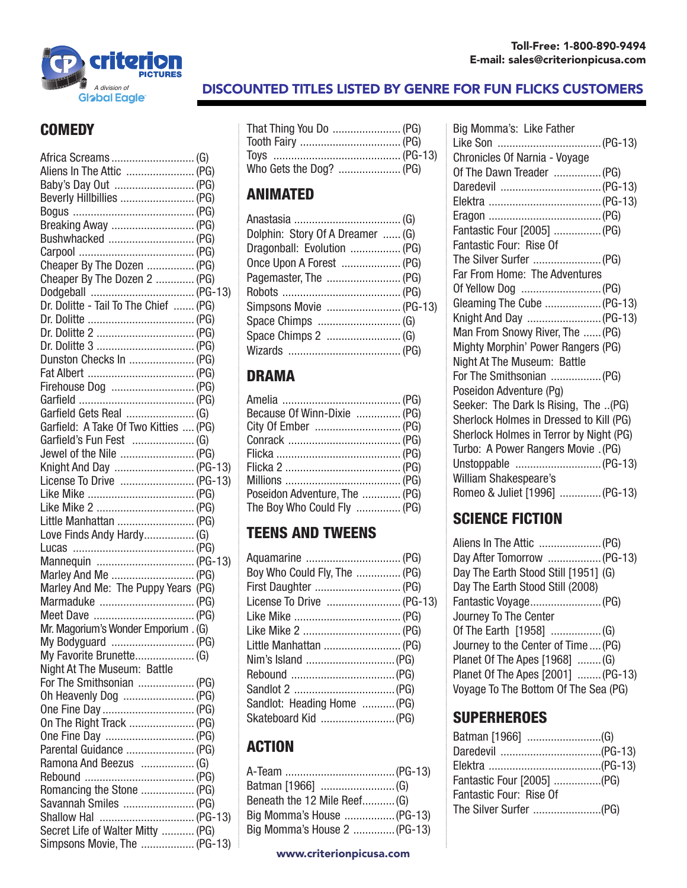

# A division of **A division of A division of A division of A division of A DISCOUNTED TITLES LISTED BY GENRE FOR FUN FLICKS CUSTOMERS**

#### **COMEDY**

| Africa Screams  (G)                   |  |
|---------------------------------------|--|
| Aliens In The Attic  (PG)             |  |
|                                       |  |
| Beverly Hillbillies  (PG)             |  |
|                                       |  |
| Breaking Away  (PG)                   |  |
| Bushwhacked  (PG)                     |  |
|                                       |  |
| Cheaper By The Dozen  (PG)            |  |
| Cheaper By The Dozen 2  (PG)          |  |
|                                       |  |
| Dr. Dolitte - Tail To The Chief  (PG) |  |
|                                       |  |
|                                       |  |
|                                       |  |
| Dunston Checks In  (PG)               |  |
|                                       |  |
| Firehouse Dog  (PG)                   |  |
|                                       |  |
| Garfield Gets Real  (G)               |  |
| Garfield: A Take Of Two Kitties  (PG) |  |
| Garfield's Fun Fest  (G)              |  |
| Jewel of the Nile  (PG)               |  |
| Knight And Day  (PG-13)               |  |
| License To Drive  (PG-13)             |  |
|                                       |  |
| Like Mike 2  (PG)                     |  |
| Little Manhattan  (PG)                |  |
| Love Finds Andy Hardy (G)             |  |
|                                       |  |
| Mannequin  (PG-13)                    |  |
| Marley And Me  (PG)                   |  |
| Marley And Me: The Puppy Years (PG)   |  |
| Marmaduke  (PG)                       |  |
|                                       |  |
| Mr. Magorium's Wonder Emporium . (G)  |  |
|                                       |  |
| My Favorite Brunette (G)              |  |
| Night At The Museum: Battle           |  |
| For The Smithsonian  (PG)             |  |
| Oh Heavenly Dog  (PG)                 |  |
| One Fine Day  (PG)                    |  |
| On The Right Track  (PG)              |  |
| One Fine Day  (PG)                    |  |
|                                       |  |
| Ramona And Beezus  (G)                |  |
|                                       |  |
| Romancing the Stone  (PG)             |  |
| Savannah Smiles  (PG)                 |  |
| Shallow Hal  (PG-13)                  |  |
| Secret Life of Walter Mitty  (PG)     |  |
| Simpsons Movie, The  (PG-13)          |  |
|                                       |  |

| That Thing You Do  (PG) |  |
|-------------------------|--|
|                         |  |
|                         |  |
| Who Gets the Dog?  (PG) |  |

#### ANIMATED

| Dolphin: Story Of A Dreamer  (G) |  |
|----------------------------------|--|
| Dragonball: Evolution  (PG)      |  |
| Once Upon A Forest  (PG)         |  |
| Pagemaster, The  (PG)            |  |
|                                  |  |
| Simpsons Movie  (PG-13)          |  |
|                                  |  |
|                                  |  |
|                                  |  |
|                                  |  |

#### DRAMA

| Because Of Winn-Dixie  (PG)   |  |
|-------------------------------|--|
|                               |  |
|                               |  |
|                               |  |
|                               |  |
|                               |  |
| Poseidon Adventure, The  (PG) |  |
| The Boy Who Could Fly  (PG)   |  |

# TEENS AND TWEENS

| Boy Who Could Fly, The  (PG) |  |
|------------------------------|--|
|                              |  |
| License To Drive  (PG-13)    |  |
|                              |  |
| Like Mike 2  (PG)            |  |
| Little Manhattan  (PG)       |  |
|                              |  |
|                              |  |
|                              |  |
| Sandlot: Heading Home  (PG)  |  |
|                              |  |
|                              |  |

#### ACTION

| Beneath the 12 Mile Reef (G) |  |
|------------------------------|--|
| Big Momma's House  (PG-13)   |  |
| Big Momma's House 2  (PG-13) |  |

| Big Momma's: Like Father                |
|-----------------------------------------|
|                                         |
| Chronicles Of Narnia - Voyage           |
| Of The Dawn Treader  (PG)               |
|                                         |
|                                         |
|                                         |
| Fantastic Four [2005]  (PG)             |
| Fantastic Four: Rise Of                 |
|                                         |
| Far From Home: The Adventures           |
|                                         |
| Gleaming The Cube  (PG-13)              |
| Knight And Day  (PG-13)                 |
| Man From Snowy River, The  (PG)         |
| Mighty Morphin' Power Rangers (PG)      |
| Night At The Museum: Battle             |
| For The Smithsonian  (PG)               |
| Poseidon Adventure (Pg)                 |
| Seeker: The Dark Is Rising, The (PG)    |
| Sherlock Holmes in Dressed to Kill (PG) |
| Sherlock Holmes in Terror by Night (PG) |
| Turbo: A Power Rangers Movie . (PG)     |
|                                         |
| William Shakespeare's                   |
| Romeo & Juliet [1996]  (PG-13)          |

# SCIENCE FICTION

| Day After Tomorrow  (PG-13)          |  |
|--------------------------------------|--|
| Day The Earth Stood Still [1951] (G) |  |
| Day The Earth Stood Still (2008)     |  |
|                                      |  |
| Journey To The Center                |  |
|                                      |  |
| Journey to the Center of Time  (PG)  |  |
| Planet Of The Apes [1968]  (G)       |  |
| Planet Of The Apes [2001]  (PG-13)   |  |
| Voyage To The Bottom Of The Sea (PG) |  |

#### **SUPERHEROES**

| Fantastic Four [2005] (PG) |  |
|----------------------------|--|
| Fantastic Four: Rise Of    |  |
| The Silver Surfer (PG)     |  |
|                            |  |